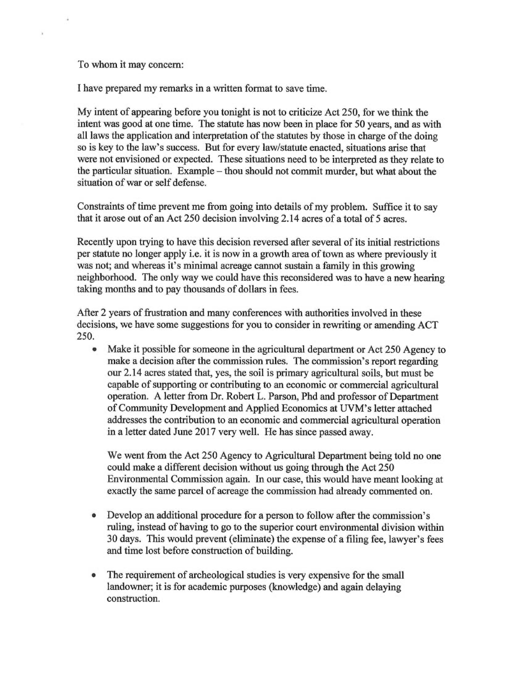To whom it may concern:

h.

I have prepared my remarks in a written format to save time.

My intent of appearing before you tonight is not to criticize Act 250, for we think the intent was good at one time. The statute has now been in place for 50 years, and as with all laws the application and interpretation of the statutes by those in charge of the doing so is key to the law's success. But for every law/statute enacted, situations arise that were not envisioned or expected. These situations need to be interpreted as they relate to the particular situation. Example — thou should not commit murder, but what about the situation of war or self defense.

Constraints of time prevent me from going into details of my problem. Suffice it to say that it arose out of an Act 250 decision involving 2.14 acres of a total of 5 acres.

Recently upon trying to have this decision reversed after several of its initial restrictions per statute no longer apply i.e. it is now in a growth area of town as where previously it was not; and whereas it's minimal acreage cannot sustain a family in this growing neighborhood. The only way we could have this reconsidered was to have a new hearing taking months and to pay thousands of dollars in fees.

After 2 years of frustration and many conferences with authorities involved in these decisions, we have some suggestions for you to consider in rewriting or amending ACT 250.

• Make it possible for someone in the agricultural department or Act 250 Agency to make a decision after the commission rules. The commission's report regarding our 2.14 acres stated that, yes, the soil is primary agricultural soils, but must be capable of supporting or contributing to an economic or commercial agricultural operation. A letter from Dr. Robert L. Parson, Phd and professor of Department of Community Development and Applied Economics at UVM's letter attached addresses the contribution to an economic and commercial agricultural operation in a letter dated June 2017 very well. He has since passed away.

We went from the Act 250 Agency to Agricultural Department being told no one could make a different decision without us going through the Act 250 Environmental Commission again. In our case, this would have meant looking at exactly the same parcel of acreage the commission had already commented on.

- Develop an additional procedure for a person to follow after the commission's ruling, instead of having to go to the superior court environmental division within 30 days. This would prevent (eliminate) the expense of a filing fee, lawyer's fees and time lost before construction of building.
- The requirement of archeological studies is very expensive for the small landowner; it is for academic purposes (knowledge) and again delaying construction.